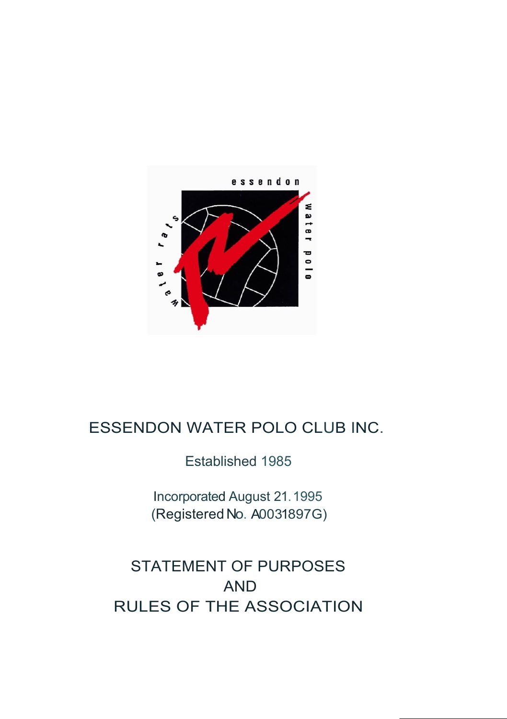

## ESSENDON WATER POLO CLUB INC.

Established 1985

Incorporated August 21.1995 (Registered No. A0031897G)

# STATEMENT OF PURPOSES AND RULES OF THE ASSOCIATION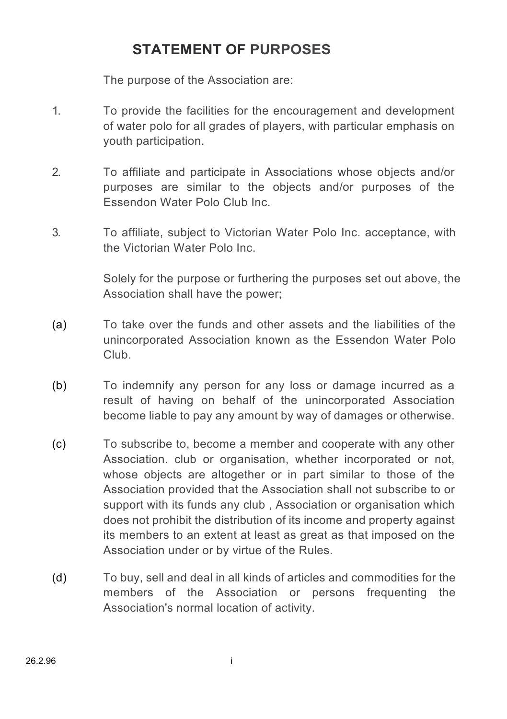## **STATEMENT OF PURPOSES**

The purpose of the Association are:

- 1. To provide the facilities for the encouragement and development of water polo for all grades of players, with particular emphasis on youth participation.
- 2. To affiliate and participate in Associations whose objects and/or purposes are similar to the objects and/or purposes of the Essendon Water Polo Club Inc.
- 3. To affiliate, subject to Victorian Water Polo Inc. acceptance, with the Victorian Water Polo Inc.

Solely for the purpose or furthering the purposes set out above, the Association shall have the power;

- (a) To take over the funds and other assets and the liabilities of the unincorporated Association known as the Essendon Water Polo Club.
- (b) To indemnify any person for any loss or damage incurred as a result of having on behalf of the unincorporated Association become liable to pay any amount by way of damages or otherwise.
- (c) To subscribe to, become a member and cooperate with any other Association, club or organisation, whether incorporated or not, whose objects are altogether or in part similar to those of the Association provided that the Association shall not subscribe to or support with its funds any club , Association or organisation which does not prohibit the distribution of its income and property against its members to an extent at least as great as that imposed on the Association under or by virtue of the Rules.
- (d) To buy, sell and deal in all kinds of articles and commodities for the members of the Association or persons frequenting the Association's normal location of activity.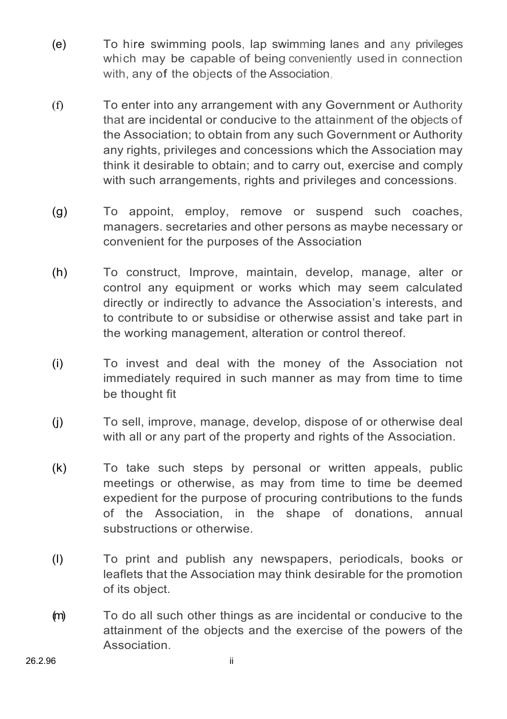- (e) To hire swimming pools, lap swimming lanes and any privileges which may be capable of being conveniently used in connection with, any of the objects of the Association.
- (f) To enter into any arrangement with any Government or Authority that are incidental or conducive to the attainment of the objects of the Association; to obtain from any such Government or Authority any rights, privileges and concessions which the Association may think it desirable to obtain; and to carry out, exercise and comply with such arrangements, rights and privileges and concessions.
- (g) To appoint, employ, remove or suspend such coaches, managers. secretaries and other persons as maybe necessary or convenient for the purposes of the Association
- (h) To construct, Improve, maintain, develop, manage, alter or control any equipment or works which may seem calculated directly or indirectly to advance the Association's interests, and to contribute to or subsidise or otherwise assist and take part in the working management, alteration or control thereof.
- (i) To invest and deal with the money of the Association not immediately required in such manner as may from time to time be thought fit
- (j) To sell, improve, manage, develop, dispose of or otherwise deal with all or any part of the property and rights of the Association.
- (k) To take such steps by personal or written appeals, public meetings or otherwise, as may from time to time be deemed expedient for the purpose of procuring contributions to the funds of the Association, in the shape of donations, annual substructions or otherwise.
- (l) To print and publish any newspapers, periodicals, books or leaflets that the Association may think desirable for the promotion of its object.
- (m) To do all such other things as are incidental or conducive to the attainment of the objects and the exercise of the powers of the Association.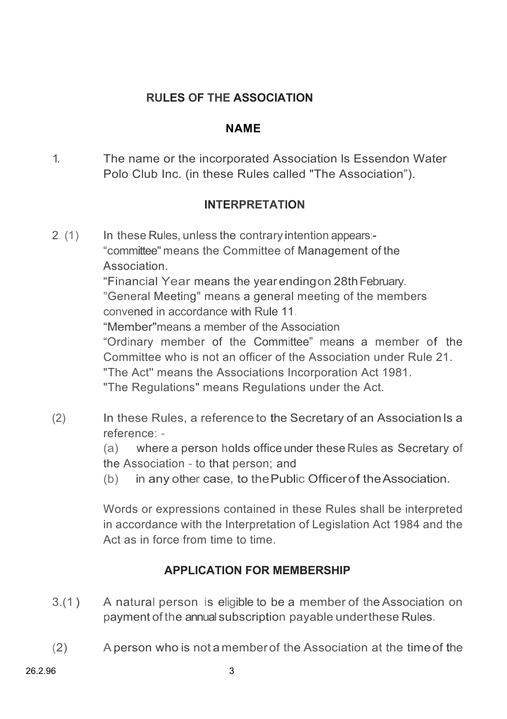#### **RULES OF THE ASSOCIATION**

#### **NAME**

1. The name or the incorporated Association ls Essendon Water Polo Club Inc. (in these Rules called "The Association").

#### **INTERPRETATION**

2. (1) In these Rules, unless the contrary intention appears:-"committee" means the Committee of Management of the Association. "Financial Year means the year endingon 28thFebruary. "General Meeting" means a general meeting of the members convened in accordance with Rule 11. "Member"means a member of the Association "Ordinary member of the Committee" means a member of the Committee who is not an officer of the Association under Rule 21. "The Act'' means the Associations Incorporation Act 1981. "The Regulations" means Regulations under the Act.

(2) In these Rules, a reference to the Secretary of an Association Is a reference: -

> (a) where a person holds office under these Rules as Secretary of the Association - to that person; and

(b) in any other case, to thePublic Officerof theAssociation.

Words or expressions contained in these Rules shall be interpreted in accordance with the Interpretation of Legislation Act 1984 and the Act as in force from time to time.

## **APPLICATION FOR MEMBERSHIP**

- 3.(1 ) A natural person is eligible to be a member of the Association on payment of the annual subscription payable underthese Rules.
- (2) A person who is not a memberof the Association at the timeof the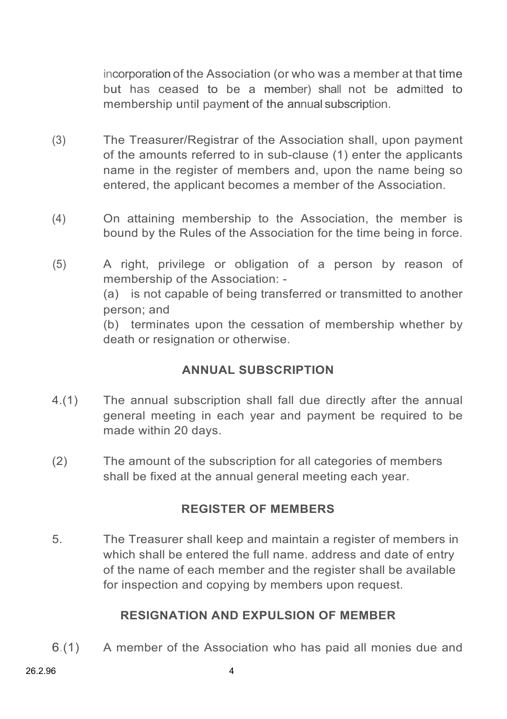incorporation of the Association (or who was a member at that time but has ceased to be a member) shall not be admitted to membership until payment of the annual subscription.

- (3) The Treasurer/Registrar of the Association shall, upon payment of the amounts referred to in sub-clause (1) enter the applicants name in the register of members and, upon the name being so entered, the applicant becomes a member of the Association.
- (4) On attaining membership to the Association, the member is bound by the Rules of the Association for the time being in force.
- (5) A right, privilege or obligation of a person by reason of membership of the Association: - (a) is not capable of being transferred or transmitted to another person; and

(b) terminates upon the cessation of membership whether by death or resignation or otherwise.

## **ANNUAL SUBSCRIPTION**

- 4.(1) The annual subscription shall fall due directly after the annual general meeting in each year and payment be required to be made within 20 days.
- (2) The amount of the subscription for all categories of members shall be fixed at the annual general meeting each year.

## **REGISTER OF MEMBERS**

5. The Treasurer shall keep and maintain a register of members in which shall be entered the full name. address and date of entry of the name of each member and the register shall be available for inspection and copying by members upon request.

## **RESIGNATION AND EXPULSION OF MEMBER**

6.(1) A member of the Association who has paid all monies due and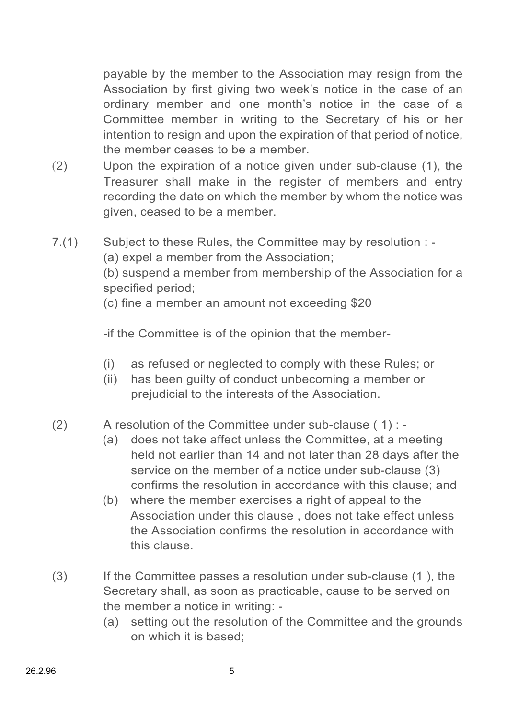payable by the member to the Association may resign from the Association by first giving two week's notice in the case of an ordinary member and one month's notice in the case of a Committee member in writing to the Secretary of his or her intention to resign and upon the expiration of that period of notice, the member ceases to be a member.

- (2) Upon the expiration of a notice given under sub-clause (1), the Treasurer shall make in the register of members and entry recording the date on which the member by whom the notice was given, ceased to be a member.
- 7.(1) Subject to these Rules, the Committee may by resolution : (a) expel a member from the Association; (b) suspend a member from membership of the Association for a specified period; (c) fine a member an amount not exceeding \$20

-if the Committee is of the opinion that the member-

- (i) as refused or neglected to comply with these Rules; or
- (ii) has been guilty of conduct unbecoming a member or prejudicial to the interests of the Association.

#### (2) A resolution of the Committee under sub-clause  $(1)$  : -

- (a) does not take affect unless the Committee, at a meeting held not earlier than 14 and not later than 28 days after the service on the member of a notice under sub-clause (3) confirms the resolution in accordance with this clause; and
- (b) where the member exercises a right of appeal to the Association under this clause , does not take effect unless the Association confirms the resolution in accordance with this clause.
- (3) If the Committee passes a resolution under sub-clause (1 ), the Secretary shall, as soon as practicable, cause to be served on the member a notice in writing: -
	- (a) setting out the resolution of the Committee and the grounds on which it is based;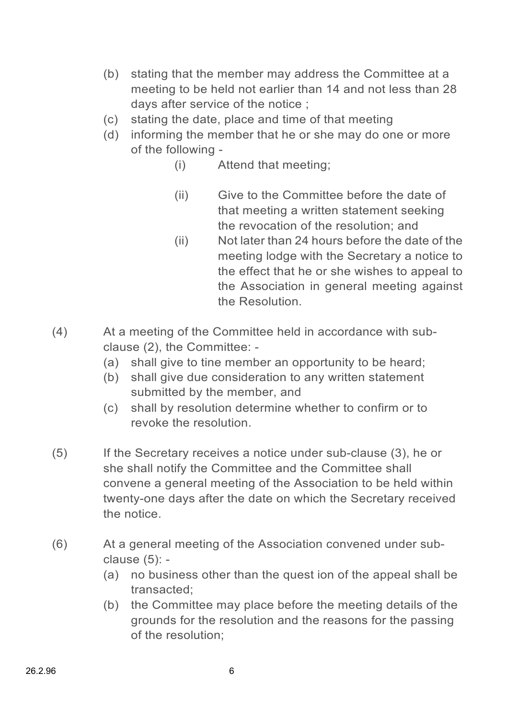- (b) stating that the member may address the Committee at a meeting to be held not earlier than 14 and not less than 28 days after service of the notice ;
- (c) stating the date, place and time of that meeting
- (d) informing the member that he or she may do one or more of the following -
	- (i) Attend that meeting;
	- (ii) Give to the Committee before the date of that meeting a written statement seeking the revocation of the resolution; and
	- (ii) Not later than 24 hours before the date of the meeting lodge with the Secretary a notice to the effect that he or she wishes to appeal to the Association in general meeting against the Resolution.
- (4) At a meeting of the Committee held in accordance with subclause (2), the Committee: -
	- (a) shall give to tine member an opportunity to be heard;
	- (b) shall give due consideration to any written statement submitted by the member, and
	- (c) shall by resolution determine whether to confirm or to revoke the resolution.
- (5) If the Secretary receives a notice under sub-clause (3), he or she shall notify the Committee and the Committee shall convene a general meeting of the Association to be held within twenty-one days after the date on which the Secretary received the notice.
- (6) At a general meeting of the Association convened under subclause (5): -
	- (a) no business other than the quest ion of the appeal shall be transacted;
	- (b) the Committee may place before the meeting details of the grounds for the resolution and the reasons for the passing of the resolution;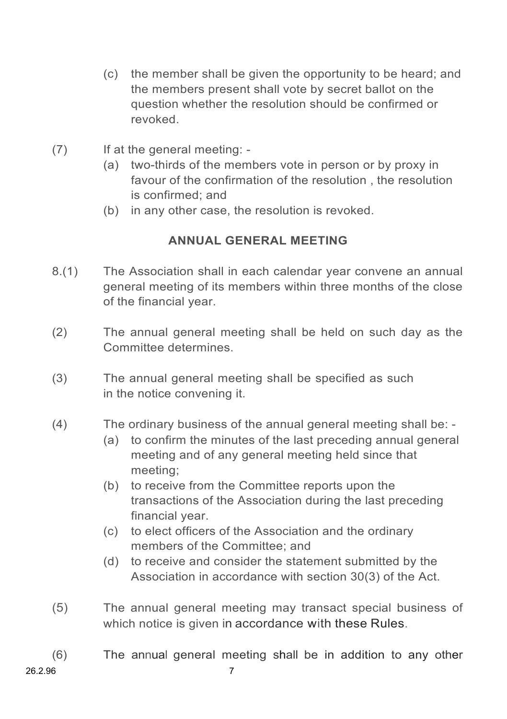- (c) the member shall be given the opportunity to be heard; and the members present shall vote by secret ballot on the question whether the resolution should be confirmed or revoked.
- (7) If at the general meeting:
	- (a) two-thirds of the members vote in person or by proxy in favour of the confirmation of the resolution , the resolution is confirmed; and
	- (b) in any other case, the resolution is revoked.

## **ANNUAL GENERAL MEETING**

- 8.(1) The Association shall in each calendar year convene an annual general meeting of its members within three months of the close of the financial year.
- (2) The annual general meeting shall be held on such day as the Committee determines.
- (3) The annual general meeting shall be specified as such in the notice convening it.
- (4) The ordinary business of the annual general meeting shall be:
	- (a) to confirm the minutes of the last preceding annual general meeting and of any general meeting held since that meeting;
	- (b) to receive from the Committee reports upon the transactions of the Association during the last preceding financial year.
	- (c) to elect officers of the Association and the ordinary members of the Committee; and
	- (d) to receive and consider the statement submitted by the Association in accordance with section 30(3) of the Act.
- (5) The annual general meeting may transact special business of which notice is given in accordance with these Rules.
- (6) The annual general meeting shall be in addition to any other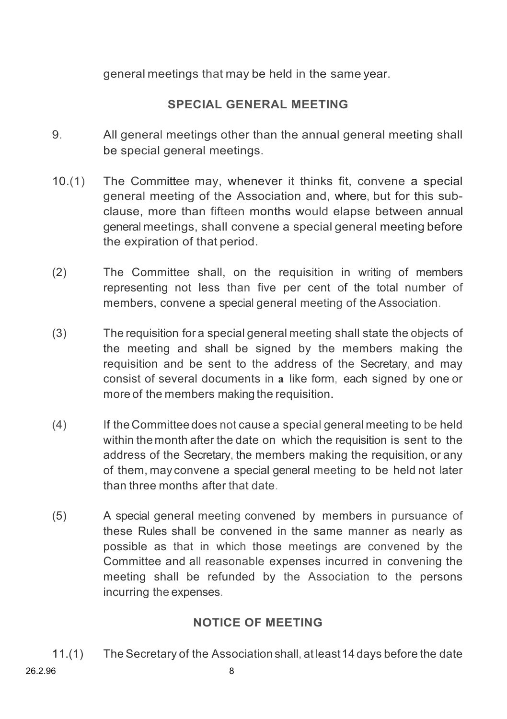general meetings that may be held in the same year.

## **SPECIAL GENERAL MEETING**

- 9. All general meetings other than the annual general meeting shall be special general meetings.
- 10.(1) The Committee may, whenever it thinks fit, convene a special general meeting of the Association and, where, but for this subclause, more than fifteen months would elapse between annual general meetings, shall convene a special general meeting before the expiration of that period.
- (2) The Committee shall, on the requisition in writing of members representing not less than five per cent of the total number of members, convene a special general meeting of the Association.
- (3) The requisition for a special general meeting shall state the objects of the meeting and shall be signed by the members making the requisition and be sent to the address of the Secretary, and may consist of several documents in **a** like form, each signed by one or more of the members making the requisition.
- (4) If the Committee does not cause a special general meeting to be held within the month after the date on which the requisition is sent to the address of the Secretary, the members making the requisition, or any of them, may convene a special general meeting to be held not later than three months after that date.
- (5) A special general meeting convened by members in pursuance of these Rules shall be convened in the same manner as nearly as possible as that in which those meetings are convened by the Committee and all reasonable expenses incurred in convening the meeting shall be refunded by the Association to the persons incurring the expenses.

## **NOTICE OF MEETING**

11.(1) TheSecretary of the Association shall, at least14 days before the date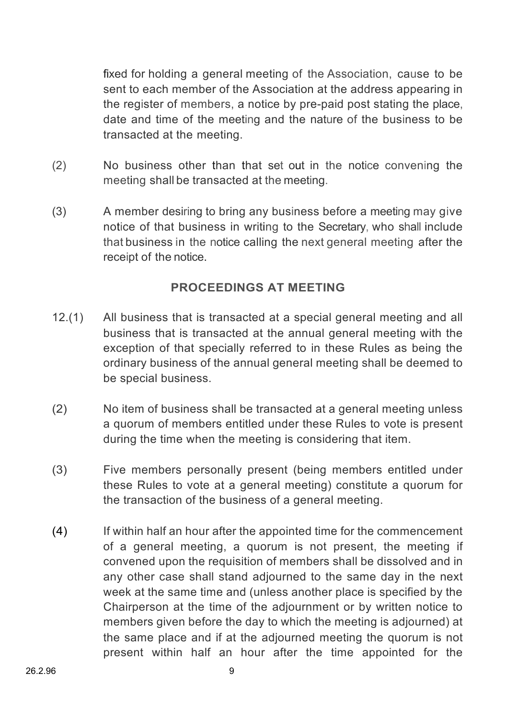fixed for holding a general meeting of the Association, cause to be sent to each member of the Association at the address appearing in the register of members, a notice by pre-paid post stating the place, date and time of the meeting and the nature of the business to be transacted at the meeting.

- (2) No business other than that set out in the notice convening the meeting shall be transacted at the meeting.
- (3) A member desiring to bring any business before a meeting may give notice of that business in writing to the Secretary, who shall include that business in the notice calling the next general meeting after the receipt of the notice.

#### **PROCEEDINGS AT MEETING**

- 12.(1) All business that is transacted at a special general meeting and all business that is transacted at the annual general meeting with the exception of that specially referred to in these Rules as being the ordinary business of the annual general meeting shall be deemed to be special business.
- (2) No item of business shall be transacted at a general meeting unless a quorum of members entitled under these Rules to vote is present during the time when the meeting is considering that item.
- (3) Five members personally present (being members entitled under these Rules to vote at a general meeting) constitute a quorum for the transaction of the business of a general meeting.
- (4) If within half an hour after the appointed time for the commencement of a general meeting, a quorum is not present, the meeting if convened upon the requisition of members shall be dissolved and in any other case shall stand adjourned to the same day in the next week at the same time and (unless another place is specified by the Chairperson at the time of the adjournment or by written notice to members given before the day to which the meeting is adjourned) at the same place and if at the adjourned meeting the quorum is not present within half an hour after the time appointed for the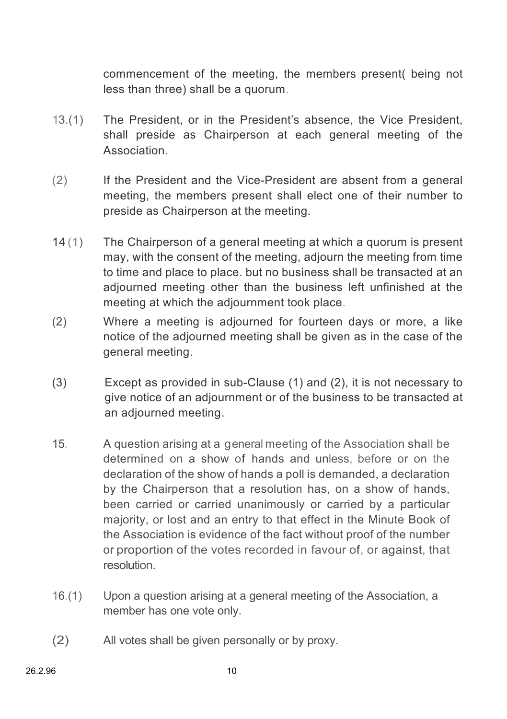commencement of the meeting, the members present( being not less than three) shall be a quorum.

- 13.(1) The President, or in the President's absence, the Vice President, shall preside as Chairperson at each general meeting of the Association.
- (2) If the President and the Vice-President are absent from a general meeting, the members present shall elect one of their number to preside as Chairperson at the meeting.
- 14 (1) The Chairperson of a general meeting at which a quorum is present may, with the consent of the meeting, adjourn the meeting from time to time and place to place. but no business shall be transacted at an adjourned meeting other than the business left unfinished at the meeting at which the adjournment took place.
- (2) Where a meeting is adjourned for fourteen days or more, a like notice of the adjourned meeting shall be given as in the case of the general meeting.
- (3) Except as provided in sub-Clause (1) and (2), it is not necessary to give notice of an adjournment or of the business to be transacted at an adjourned meeting.
- 15. A question arising at a general meeting of the Association shall be determined on a show of hands and unless, before or on the declaration of the show of hands a poll is demanded, a declaration by the Chairperson that a resolution has, on a show of hands, been carried or carried unanimously or carried by a particular majority, or lost and an entry to that effect in the Minute Book of the Association is evidence of the fact without proof of the number or proportion of the votes recorded in favour of, or against, that resolution.
- 16.(1) Upon a question arising at a general meeting of the Association, a member has one vote only.
- (2) All votes shall be given personally or by proxy.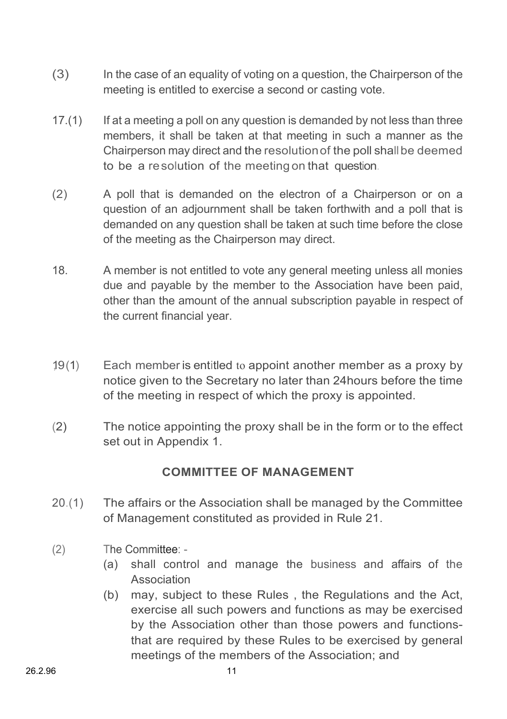- (3) In the case of an equality of voting on a question, the Chairperson of the meeting is entitled to exercise a second or casting vote.
- 17.(1) If at a meeting a poll on any question is demanded by not less than three members, it shall be taken at that meeting in such a manner as the Chairperson may direct and the resolutionof the poll shallbe deemed to be a resolution of the meeting on that question.
- (2) A poll that is demanded on the electron of a Chairperson or on a question of an adjournment shall be taken forthwith and a poll that is demanded on any question shall be taken at such time before the close of the meeting as the Chairperson may direct.
- 18. A member is not entitled to vote any general meeting unless all monies due and payable by the member to the Association have been paid, other than the amount of the annual subscription payable in respect of the current financial year.
- 19(1) Each member is entitled to appoint another member as a proxy by notice given to the Secretary no later than 24hours before the time of the meeting in respect of which the proxy is appointed.
- (2) The notice appointing the proxy shall be in the form or to the effect set out in Appendix 1.

## **COMMITTEE OF MANAGEMENT**

- 20.(1) The affairs or the Association shall be managed by the Committee of Management constituted as provided in Rule 21.
- (2) The Committee:
	- (a) shall control and manage the business and affairs of the Association
	- (b) may, subject to these Rules , the Regulations and the Act, exercise all such powers and functions as may be exercised by the Association other than those powers and functionsthat are required by these Rules to be exercised by general meetings of the members of the Association; and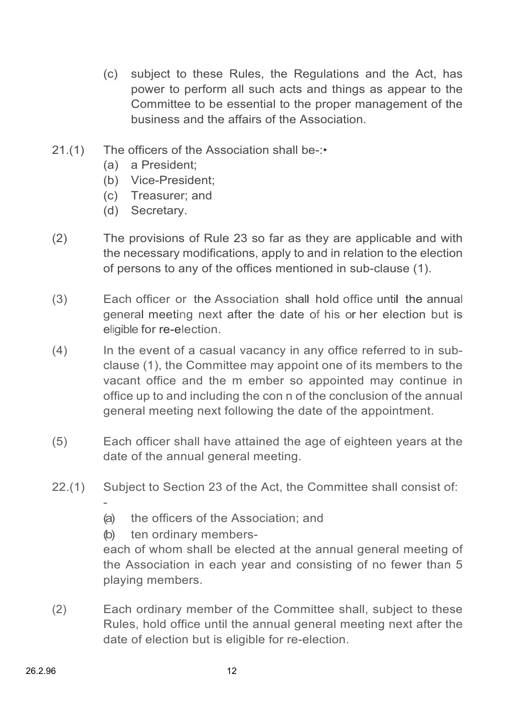- (c) subject to these Rules, the Regulations and the Act, has power to perform all such acts and things as appear to the Committee to be essential to the proper management of the business and the affairs of the Association.
- 21.(1) The officers of the Association shall be-:•
	- (a) a President;
	- (b) Vice-President;
	- (c) Treasurer; and
	- (d) Secretary.
- (2) The provisions of Rule 23 so far as they are applicable and with the necessary modifications, apply to and in relation to the election of persons to any of the offices mentioned in sub-clause (1).
- (3) Each officer or the Association shall hold office until the annual general meeting next after the date of his or her election but is eligible for re-election.
- (4) In the event of a casual vacancy in any office referred to in subclause (1), the Committee may appoint one of its members to the vacant office and the m ember so appointed may continue in office up to and including the con n of the conclusion of the annual general meeting next following the date of the appointment.
- (5) Each officer shall have attained the age of eighteen years at the date of the annual general meeting.
- 22.(1) Subject to Section 23 of the Act, the Committee shall consist of:
	- (a) the officers of the Association; and
	- (b) ten ordinary members-

-

each of whom shall be elected at the annual general meeting of the Association in each year and consisting of no fewer than 5 playing members.

(2) Each ordinary member of the Committee shall, subject to these Rules, hold office until the annual general meeting next after the date of election but is eligible for re-election.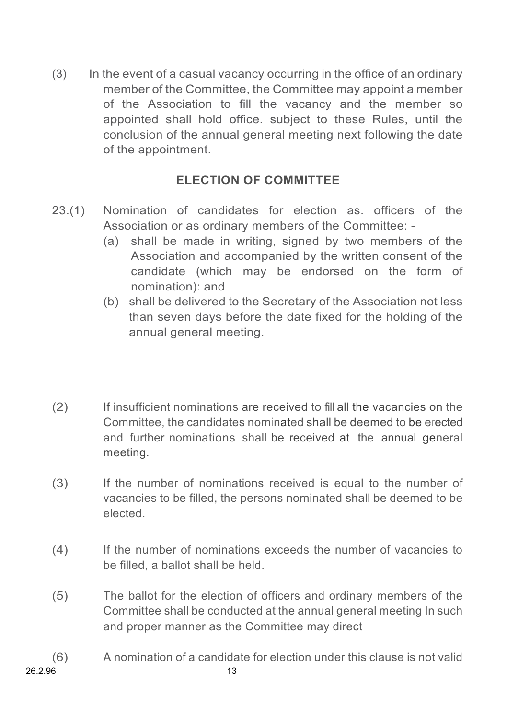(3) In the event of a casual vacancy occurring in the office of an ordinary member of the Committee, the Committee may appoint a member of the Association to fill the vacancy and the member so appointed shall hold office. subject to these Rules, until the conclusion of the annual general meeting next following the date of the appointment.

## **ELECTION OF COMMITTEE**

- 23.(1) Nomination of candidates for election as. officers of the Association or as ordinary members of the Committee: -
	- (a) shall be made in writing, signed by two members of the Association and accompanied by the written consent of the candidate (which may be endorsed on the form of nomination): and
	- (b) shall be delivered to the Secretary of the Association not less than seven days before the date fixed for the holding of the annual general meeting.
- (2) If insufficient nominations are received to fill all the vacancies on the Committee, the candidates nominated shall be deemed to be erected and further nominations shall be received at the annual general meeting.
- (3) If the number of nominations received is equal to the number of vacancies to be filled, the persons nominated shall be deemed to be elected.
- (4) If the number of nominations exceeds the number of vacancies to be filled, a ballot shall be held.
- (5) The ballot for the election of officers and ordinary members of the Committee shall be conducted at the annual general meeting In such and proper manner as the Committee may direct
- (6) A nomination of a candidate for election under this clause is not valid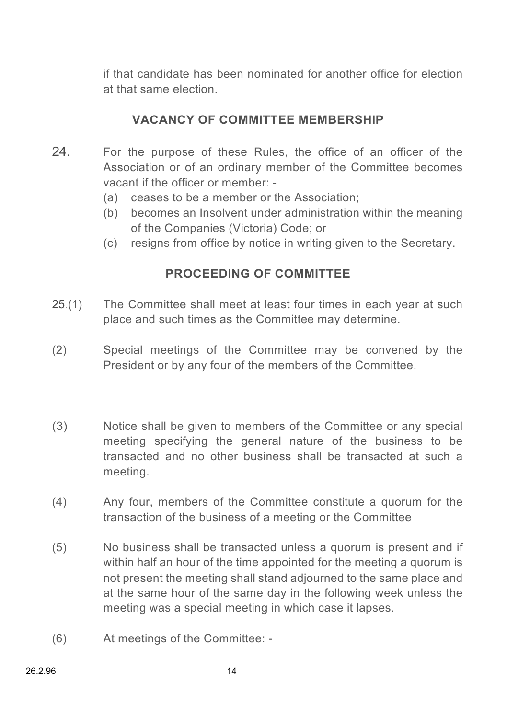if that candidate has been nominated for another office for election at that same election.

## **VACANCY OF COMMITTEE MEMBERSHIP**

- 24. For the purpose of these Rules, the office of an officer of the Association or of an ordinary member of the Committee becomes vacant if the officer or member: -
	- (a) ceases to be a member or the Association;
	- (b) becomes an Insolvent under administration within the meaning of the Companies (Victoria) Code; or
	- (c) resigns from office by notice in writing given to the Secretary.

## **PROCEEDING OF COMMITTEE**

- 25.(1) The Committee shall meet at least four times in each year at such place and such times as the Committee may determine.
- (2) Special meetings of the Committee may be convened by the President or by any four of the members of the Committee.
- (3) Notice shall be given to members of the Committee or any special meeting specifying the general nature of the business to be transacted and no other business shall be transacted at such a meeting.
- (4) Any four, members of the Committee constitute a quorum for the transaction of the business of a meeting or the Committee
- (5) No business shall be transacted unless a quorum is present and if within half an hour of the time appointed for the meeting a quorum is not present the meeting shall stand adjourned to the same place and at the same hour of the same day in the following week unless the meeting was a special meeting in which case it lapses.
- (6) At meetings of the Committee: -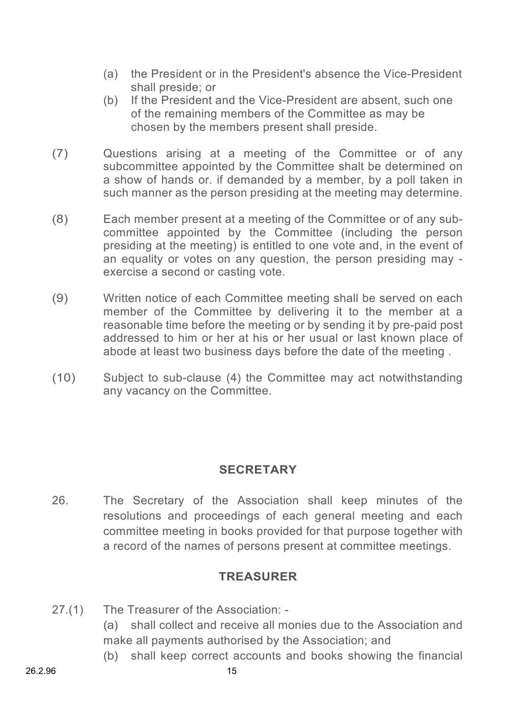- (a) the President or in the President's absence the Vice-President shall preside; or
- (b) If the President and the Vice-President are absent, such one of the remaining members of the Committee as may be chosen by the members present shall preside.
- (7) Questions arising at a meeting of the Committee or of any subcommittee appointed by the Committee shalt be determined on a show of hands or. if demanded by a member, by a poll taken in such manner as the person presiding at the meeting may determine.
- (8) Each member present at a meeting of the Committee or of any subcommittee appointed by the Committee (including the person presiding at the meeting) is entitled to one vote and, in the event of an equality or votes on any question, the person presiding may exercise a second or casting vote.
- (9) Written notice of each Committee meeting shall be served on each member of the Committee by delivering it to the member at a reasonable time before the meeting or by sending it by pre-paid post addressed to him or her at his or her usual or last known place of abode at least two business days before the date of the meeting .
- (10) Subject to sub-clause (4) the Committee may act notwithstanding any vacancy on the Committee.

#### **SECRETARY**

26. The Secretary of the Association shall keep minutes of the resolutions and proceedings of each general meeting and each committee meeting in books provided for that purpose together with a record of the names of persons present at committee meetings.

## **TREASURER**

- 27.(1) The Treasurer of the Association: (a) shall collect and receive all monies due to the Association and make all payments authorised by the Association; and
	- (b) shall keep correct accounts and books showing the financial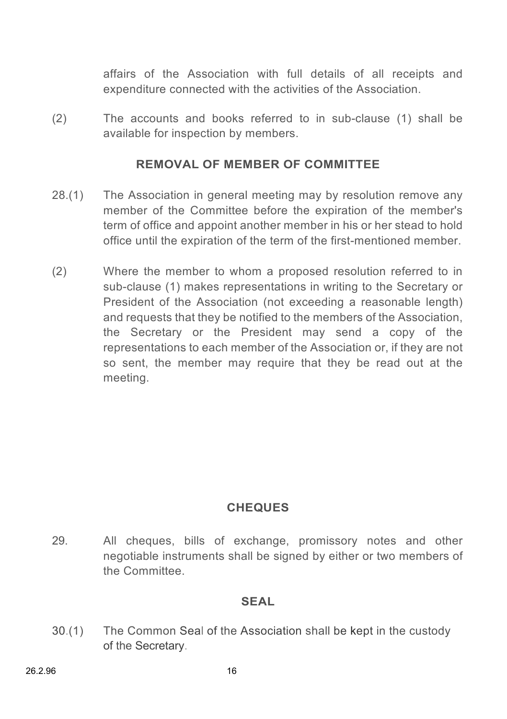affairs of the Association with full details of all receipts and expenditure connected with the activities of the Association.

(2) The accounts and books referred to in sub-clause (1) shall be available for inspection by members.

#### **REMOVAL OF MEMBER OF COMMITTEE**

- 28.(1) The Association in general meeting may by resolution remove any member of the Committee before the expiration of the member's term of office and appoint another member in his or her stead to hold office until the expiration of the term of the first-mentioned member.
- (2) Where the member to whom a proposed resolution referred to in sub-clause (1) makes representations in writing to the Secretary or President of the Association (not exceeding a reasonable length) and requests that they be notified to the members of the Association. the Secretary or the President may send a copy of the representations to each member of the Association or, if they are not so sent, the member may require that they be read out at the meeting.

## **CHEQUES**

29. All cheques, bills of exchange, promissory notes and other negotiable instruments shall be signed by either or two members of the Committee.

#### **SEAL**

30.(1) The Common Seal of the Association shall be kept in the custody of the Secretary.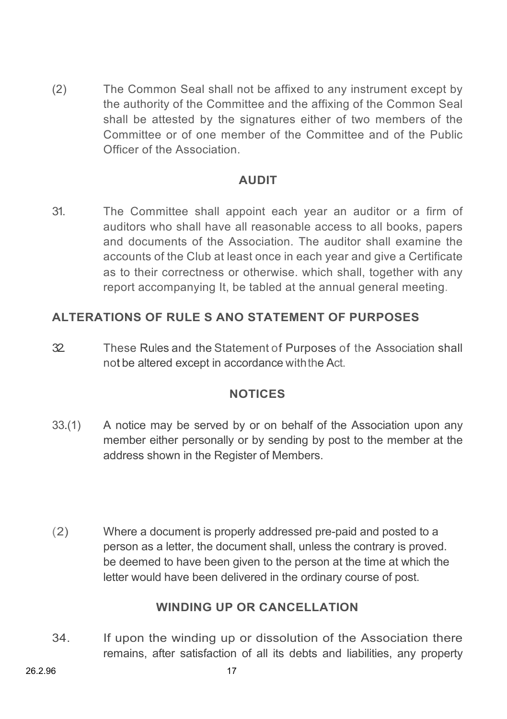(2) The Common Seal shall not be affixed to any instrument except by the authority of the Committee and the affixing of the Common Seal shall be attested by the signatures either of two members of the Committee or of one member of the Committee and of the Public Officer of the Association.

## **AUDIT**

31. The Committee shall appoint each year an auditor or a firm of auditors who shall have all reasonable access to all books, papers and documents of the Association. The auditor shall examine the accounts of the Club at least once in each year and give a Certificate as to their correctness or otherwise. which shall, together with any report accompanying It, be tabled at the annual general meeting.

## **ALTERATIONS OF RULE S ANO STATEMENT OF PURPOSES**

32. These Rules and the Statement of Purposes of the Association shall not be altered except in accordance withthe Act.

#### **NOTICES**

- 33.(1) A notice may be served by or on behalf of the Association upon any member either personally or by sending by post to the member at the address shown in the Register of Members.
- (2) Where a document is properly addressed pre-paid and posted to a person as a letter, the document shall, unless the contrary is proved. be deemed to have been given to the person at the time at which the letter would have been delivered in the ordinary course of post.

#### **WINDING UP OR CANCELLATION**

34. If upon the winding up or dissolution of the Association there remains, after satisfaction of all its debts and liabilities, any property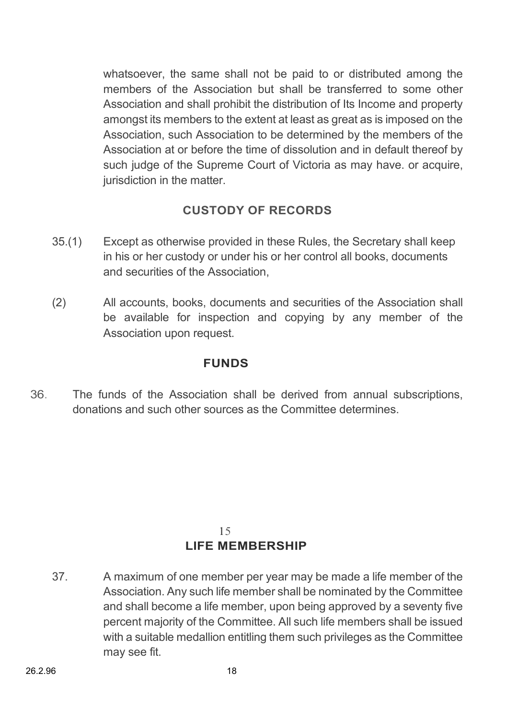whatsoever, the same shall not be paid to or distributed among the members of the Association but shall be transferred to some other Association and shall prohibit the distribution of Its Income and property amongst its members to the extent at least as great as is imposed on the Association, such Association to be determined by the members of the Association at or before the time of dissolution and in default thereof by such judge of the Supreme Court of Victoria as may have, or acquire, jurisdiction in the matter.

## **CUSTODY OF RECORDS**

- 35.(1) Except as otherwise provided in these Rules, the Secretary shall keep in his or her custody or under his or her control all books, documents and securities of the Association,
- (2) All accounts, books, documents and securities of the Association shall be available for inspection and copying by any member of the Association upon request.

## **FUNDS**

36. The funds of the Association shall be derived from annual subscriptions, donations and such other sources as the Committee determines.

#### 15 **LIFE MEMBERSHIP**

37. A maximum of one member per year may be made a life member of the Association. Any such life member shall be nominated by the Committee and shall become a life member, upon being approved by a seventy five percent majority of the Committee. All such life members shall be issued with a suitable medallion entitling them such privileges as the Committee may see fit.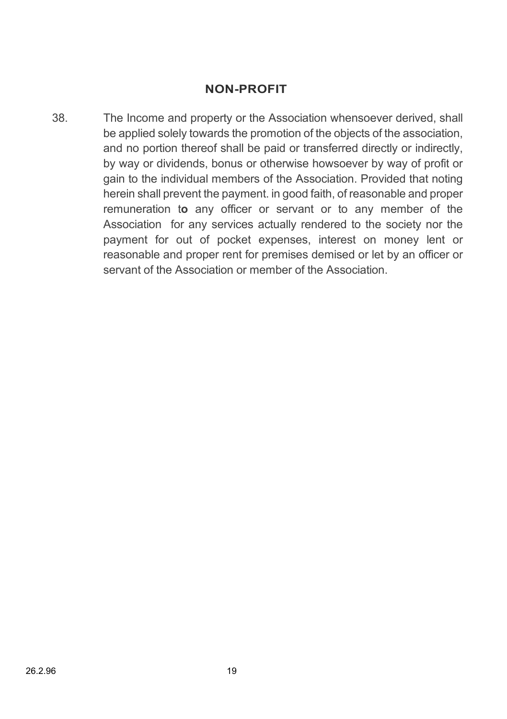#### **NON-PROFIT**

38. The Income and property or the Association whensoever derived, shall be applied solely towards the promotion of the objects of the association, and no portion thereof shall be paid or transferred directly or indirectly, by way or dividends, bonus or otherwise howsoever by way of profit or gain to the individual members of the Association. Provided that noting herein shall prevent the payment. in good faith, of reasonable and proper remuneration t**o** any officer or servant or to any member of the Association for any services actually rendered to the society nor the payment for out of pocket expenses, interest on money lent or reasonable and proper rent for premises demised or let by an officer or servant of the Association or member of the Association.